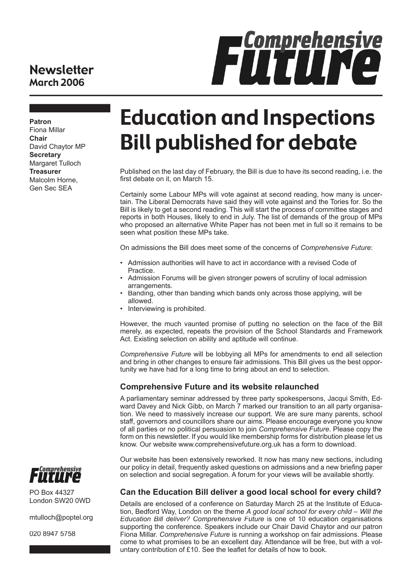### **Newsletter** March 2006



**Patron**

Fiona Millar **Chair** David Chaytor MP **Secretary** Margaret Tulloch **Treasurer** Malcolm Horne, Gen Sec SEA

# Education and Inspections Bill published for debate

Published on the last day of February, the Bill is due to have its second reading, i.e. the first debate on it, on March 15.

Certainly some Labour MPs will vote against at second reading, how many is uncertain. The Liberal Democrats have said they will vote against and the Tories for. So the Bill is likely to get a second reading. This will start the process of committee stages and reports in both Houses, likely to end in July. The list of demands of the group of MPs who proposed an alternative White Paper has not been met in full so it remains to be seen what position these MPs take.

On admissions the Bill does meet some of the concerns of *Comprehensive Future*:

- Admission authorities will have to act in accordance with a revised Code of Practice.
- Admission Forums will be given stronger powers of scrutiny of local admission arrangements.
- Banding, other than banding which bands only across those applying, will be allowed.
- Interviewing is prohibited.

However, the much vaunted promise of putting no selection on the face of the Bill merely, as expected, repeats the provision of the School Standards and Framework Act. Existing selection on ability and aptitude will continue.

*Comprehensive Future* will be lobbying all MPs for amendments to end all selection and bring in other changes to ensure fair admissions. This Bill gives us the best opportunity we have had for a long time to bring about an end to selection.

#### **Comprehensive Future and its website relaunched**

A parliamentary seminar addressed by three party spokespersons, Jacqui Smith, Edward Davey and Nick Gibb, on March 7 marked our transition to an all party organisation. We need to massively increase our support. We are sure many parents, school staff, governors and councillors share our aims. Please encourage everyone you know of all parties or no political persuasion to join *Comprehensive Future*. Please copy the form on this newsletter. If you would like membership forms for distribution please let us know. Our website www.comprehensivefuture.org.uk has a form to download.

Our website has been extensively reworked. It now has many new sections, including our policy in detail, frequently asked questions on admissions and a new briefing paper on selection and social segregation. A forum for your views will be available shortly.

#### **Can the Education Bill deliver a good local school for every child?**

Details are enclosed of a conference on Saturday March 25 at the Institute of Education, Bedford Way, London on the theme *A good local school for every child – Will the Education Bill deliver? Comprehensive Future* is one of 10 education organisations supporting the conference. Speakers include our Chair David Chaytor and our patron Fiona Millar. *Comprehensive Future* is running a workshop on fair admissions. Please come to what promises to be an excellent day. Attendance will be free, but with a voluntary contribution of £10. See the leaflet for details of how to book.



PO Box 44327 London SW20 0WD

mtulloch@poptel.org

020 8947 5758